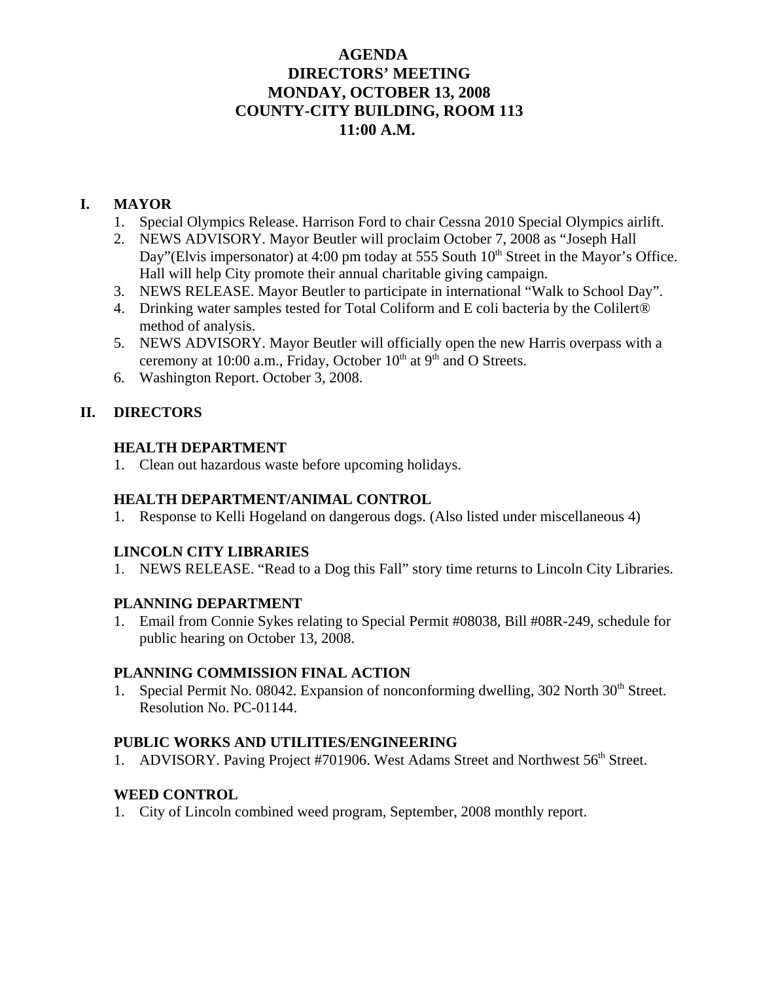## **AGENDA DIRECTORS' MEETING MONDAY, OCTOBER 13, 2008 COUNTY-CITY BUILDING, ROOM 113 11:00 A.M.**

## **I. MAYOR**

- 1. Special Olympics Release. Harrison Ford to chair Cessna 2010 Special Olympics airlift.
- 2. NEWS ADVISORY. Mayor Beutler will proclaim October 7, 2008 as "Joseph Hall Day"(Elvis impersonator) at 4:00 pm today at 555 South  $10<sup>th</sup>$  Street in the Mayor's Office. Hall will help City promote their annual charitable giving campaign.
- 3. NEWS RELEASE. Mayor Beutler to participate in international "Walk to School Day".
- 4. Drinking water samples tested for Total Coliform and E coli bacteria by the Colilert® method of analysis.
- 5. NEWS ADVISORY. Mayor Beutler will officially open the new Harris overpass with a ceremony at 10:00 a.m., Friday, October 10<sup>th</sup> at 9<sup>th</sup> and O Streets.
- 6. Washington Report. October 3, 2008.

## **II. DIRECTORS**

### **HEALTH DEPARTMENT**

1. Clean out hazardous waste before upcoming holidays.

## **HEALTH DEPARTMENT/ANIMAL CONTROL**

1. Response to Kelli Hogeland on dangerous dogs. (Also listed under miscellaneous 4)

## **LINCOLN CITY LIBRARIES**

1. NEWS RELEASE. "Read to a Dog this Fall" story time returns to Lincoln City Libraries.

## **PLANNING DEPARTMENT**

1. Email from Connie Sykes relating to Special Permit #08038, Bill #08R-249, schedule for public hearing on October 13, 2008.

#### **PLANNING COMMISSION FINAL ACTION**

1. Special Permit No. 08042. Expansion of nonconforming dwelling, 302 North 30<sup>th</sup> Street. Resolution No. PC-01144.

## **PUBLIC WORKS AND UTILITIES/ENGINEERING**

1. ADVISORY. Paving Project #701906. West Adams Street and Northwest 56<sup>th</sup> Street.

## **WEED CONTROL**

1. City of Lincoln combined weed program, September, 2008 monthly report.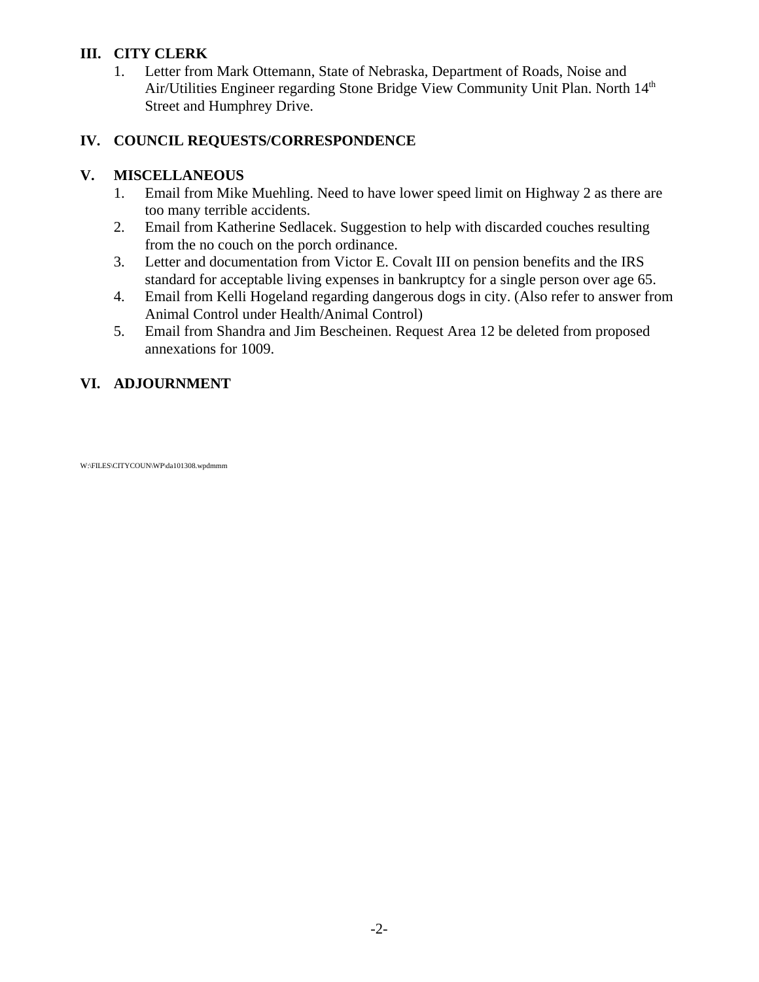## **III. CITY CLERK**

1. Letter from Mark Ottemann, State of Nebraska, Department of Roads, Noise and Air/Utilities Engineer regarding Stone Bridge View Community Unit Plan. North 14<sup>th</sup> Street and Humphrey Drive.

## **IV. COUNCIL REQUESTS/CORRESPONDENCE**

## **V. MISCELLANEOUS**

- 1. Email from Mike Muehling. Need to have lower speed limit on Highway 2 as there are too many terrible accidents.
- 2. Email from Katherine Sedlacek. Suggestion to help with discarded couches resulting from the no couch on the porch ordinance.
- 3. Letter and documentation from Victor E. Covalt III on pension benefits and the IRS standard for acceptable living expenses in bankruptcy for a single person over age 65.
- 4. Email from Kelli Hogeland regarding dangerous dogs in city. (Also refer to answer from Animal Control under Health/Animal Control)
- 5. Email from Shandra and Jim Bescheinen. Request Area 12 be deleted from proposed annexations for 1009.

## **VI. ADJOURNMENT**

#### W:\FILES\CITYCOUN\WP\da101308.wpdmmm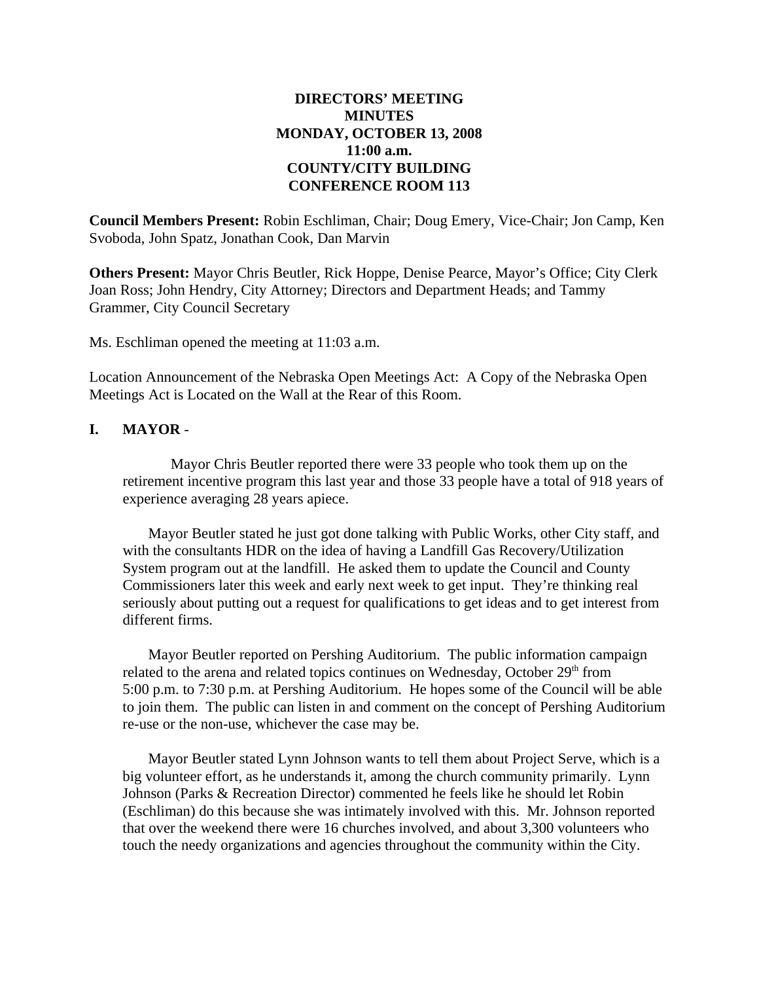## **DIRECTORS' MEETING MINUTES MONDAY, OCTOBER 13, 2008 11:00 a.m. COUNTY/CITY BUILDING CONFERENCE ROOM 113**

**Council Members Present:** Robin Eschliman, Chair; Doug Emery, Vice-Chair; Jon Camp, Ken Svoboda, John Spatz, Jonathan Cook, Dan Marvin

**Others Present:** Mayor Chris Beutler, Rick Hoppe, Denise Pearce, Mayor's Office; City Clerk Joan Ross; John Hendry, City Attorney; Directors and Department Heads; and Tammy Grammer, City Council Secretary

Ms. Eschliman opened the meeting at 11:03 a.m.

Location Announcement of the Nebraska Open Meetings Act: A Copy of the Nebraska Open Meetings Act is Located on the Wall at the Rear of this Room.

#### **I. MAYOR** -

Mayor Chris Beutler reported there were 33 people who took them up on the retirement incentive program this last year and those 33 people have a total of 918 years of experience averaging 28 years apiece.

Mayor Beutler stated he just got done talking with Public Works, other City staff, and with the consultants HDR on the idea of having a Landfill Gas Recovery/Utilization System program out at the landfill. He asked them to update the Council and County Commissioners later this week and early next week to get input. They're thinking real seriously about putting out a request for qualifications to get ideas and to get interest from different firms.

Mayor Beutler reported on Pershing Auditorium. The public information campaign related to the arena and related topics continues on Wednesday, October  $29<sup>th</sup>$  from 5:00 p.m. to 7:30 p.m. at Pershing Auditorium. He hopes some of the Council will be able to join them. The public can listen in and comment on the concept of Pershing Auditorium re-use or the non-use, whichever the case may be.

Mayor Beutler stated Lynn Johnson wants to tell them about Project Serve, which is a big volunteer effort, as he understands it, among the church community primarily. Lynn Johnson (Parks & Recreation Director) commented he feels like he should let Robin (Eschliman) do this because she was intimately involved with this. Mr. Johnson reported that over the weekend there were 16 churches involved, and about 3,300 volunteers who touch the needy organizations and agencies throughout the community within the City.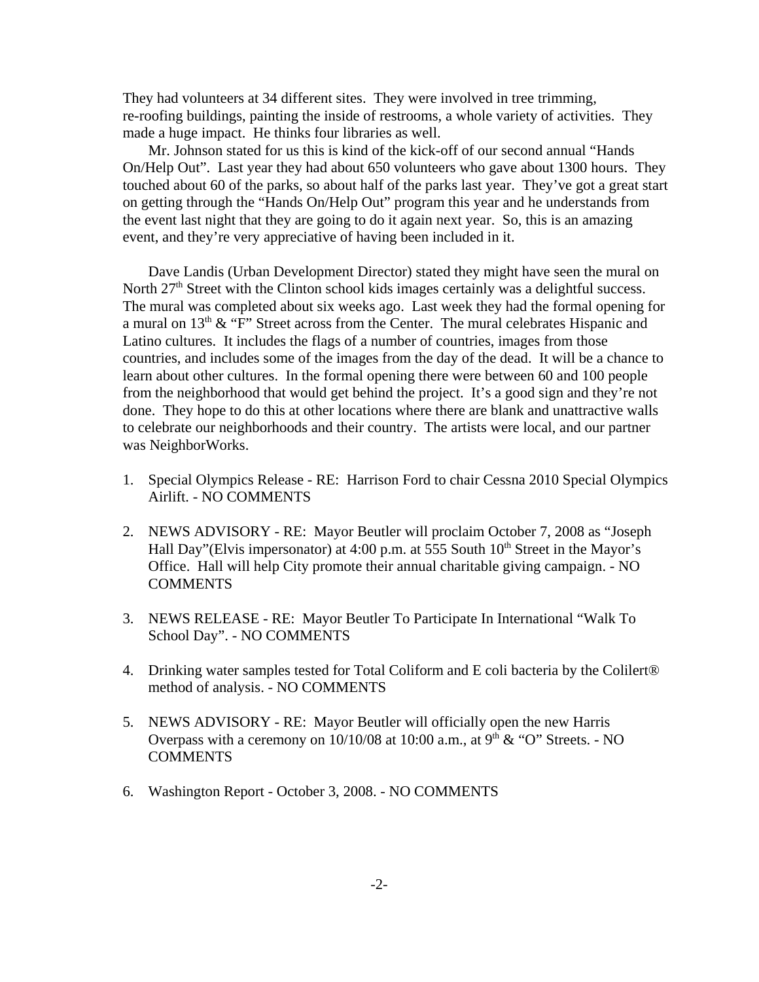They had volunteers at 34 different sites. They were involved in tree trimming, re-roofing buildings, painting the inside of restrooms, a whole variety of activities. They made a huge impact. He thinks four libraries as well.

Mr. Johnson stated for us this is kind of the kick-off of our second annual "Hands On/Help Out". Last year they had about 650 volunteers who gave about 1300 hours. They touched about 60 of the parks, so about half of the parks last year. They've got a great start on getting through the "Hands On/Help Out" program this year and he understands from the event last night that they are going to do it again next year. So, this is an amazing event, and they're very appreciative of having been included in it.

Dave Landis (Urban Development Director) stated they might have seen the mural on North  $27<sup>th</sup>$  Street with the Clinton school kids images certainly was a delightful success. The mural was completed about six weeks ago. Last week they had the formal opening for a mural on  $13<sup>th</sup>$  & "F" Street across from the Center. The mural celebrates Hispanic and Latino cultures. It includes the flags of a number of countries, images from those countries, and includes some of the images from the day of the dead. It will be a chance to learn about other cultures. In the formal opening there were between 60 and 100 people from the neighborhood that would get behind the project. It's a good sign and they're not done. They hope to do this at other locations where there are blank and unattractive walls to celebrate our neighborhoods and their country. The artists were local, and our partner was NeighborWorks.

- 1. Special Olympics Release RE: Harrison Ford to chair Cessna 2010 Special Olympics Airlift. - NO COMMENTS
- 2. NEWS ADVISORY RE: Mayor Beutler will proclaim October 7, 2008 as "Joseph Hall Day"(Elvis impersonator) at 4:00 p.m. at 555 South  $10<sup>th</sup>$  Street in the Mayor's Office. Hall will help City promote their annual charitable giving campaign. - NO **COMMENTS**
- 3. NEWS RELEASE RE: Mayor Beutler To Participate In International "Walk To School Day". - NO COMMENTS
- 4. Drinking water samples tested for Total Coliform and E coli bacteria by the Colilert® method of analysis. - NO COMMENTS
- 5. NEWS ADVISORY RE: Mayor Beutler will officially open the new Harris Overpass with a ceremony on  $10/10/08$  at  $10:00$  a.m., at  $9<sup>th</sup>$  & "O" Streets. - NO **COMMENTS**
- 6. Washington Report October 3, 2008. NO COMMENTS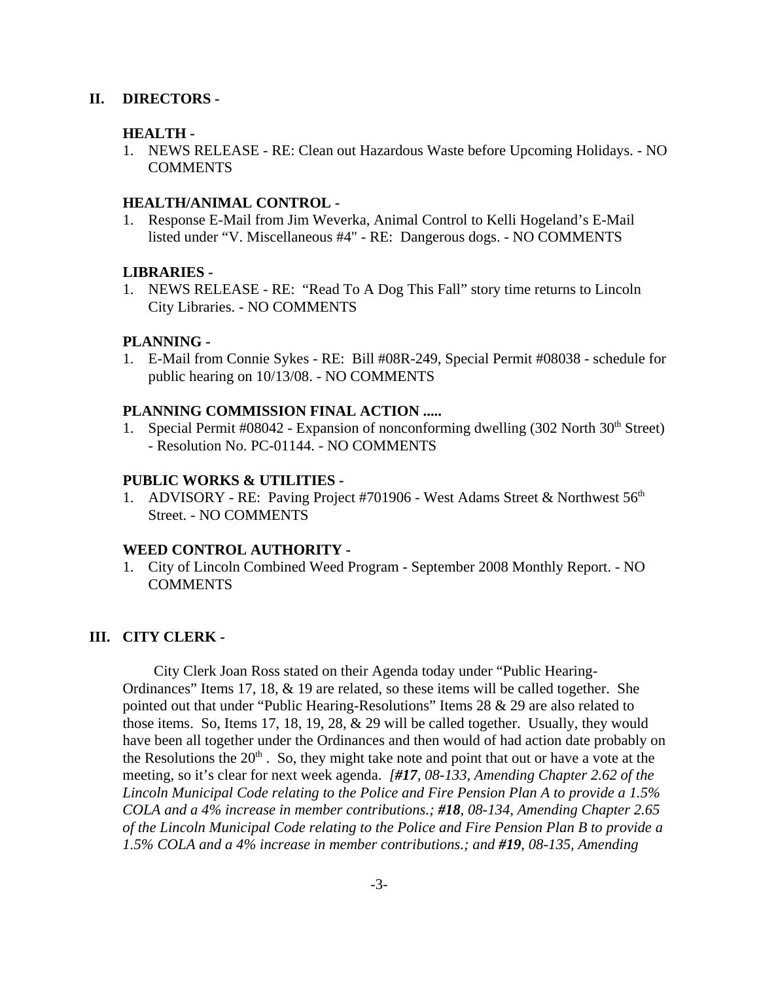#### **II. DIRECTORS -**

#### **HEALTH -**

1. NEWS RELEASE - RE: Clean out Hazardous Waste before Upcoming Holidays. - NO **COMMENTS** 

#### **HEALTH/ANIMAL CONTROL -**

1. Response E-Mail from Jim Weverka, Animal Control to Kelli Hogeland's E-Mail listed under "V. Miscellaneous #4" - RE: Dangerous dogs. - NO COMMENTS

#### **LIBRARIES -**

1. NEWS RELEASE - RE: "Read To A Dog This Fall" story time returns to Lincoln City Libraries. - NO COMMENTS

#### **PLANNING -**

1. E-Mail from Connie Sykes - RE: Bill #08R-249, Special Permit #08038 - schedule for public hearing on 10/13/08. - NO COMMENTS

#### **PLANNING COMMISSION FINAL ACTION .....**

1. Special Permit  $\#08042$  - Expansion of nonconforming dwelling (302 North 30<sup>th</sup> Street) - Resolution No. PC-01144. - NO COMMENTS

#### **PUBLIC WORKS & UTILITIES -**

1. ADVISORY - RE: Paving Project #701906 - West Adams Street & Northwest 56<sup>th</sup> Street. - NO COMMENTS

#### **WEED CONTROL AUTHORITY -**

1. City of Lincoln Combined Weed Program - September 2008 Monthly Report. - NO COMMENTS

#### **III. CITY CLERK -**

City Clerk Joan Ross stated on their Agenda today under "Public Hearing-Ordinances" Items 17, 18, & 19 are related, so these items will be called together. She pointed out that under "Public Hearing-Resolutions" Items 28 & 29 are also related to those items. So, Items 17, 18, 19, 28, & 29 will be called together. Usually, they would have been all together under the Ordinances and then would of had action date probably on the Resolutions the  $20<sup>th</sup>$ . So, they might take note and point that out or have a vote at the meeting, so it's clear for next week agenda. *[#17, 08-133, Amending Chapter 2.62 of the Lincoln Municipal Code relating to the Police and Fire Pension Plan A to provide a 1.5% COLA and a 4% increase in member contributions.; #18, 08-134, Amending Chapter 2.65 of the Lincoln Municipal Code relating to the Police and Fire Pension Plan B to provide a 1.5% COLA and a 4% increase in member contributions.; and #19, 08-135, Amending*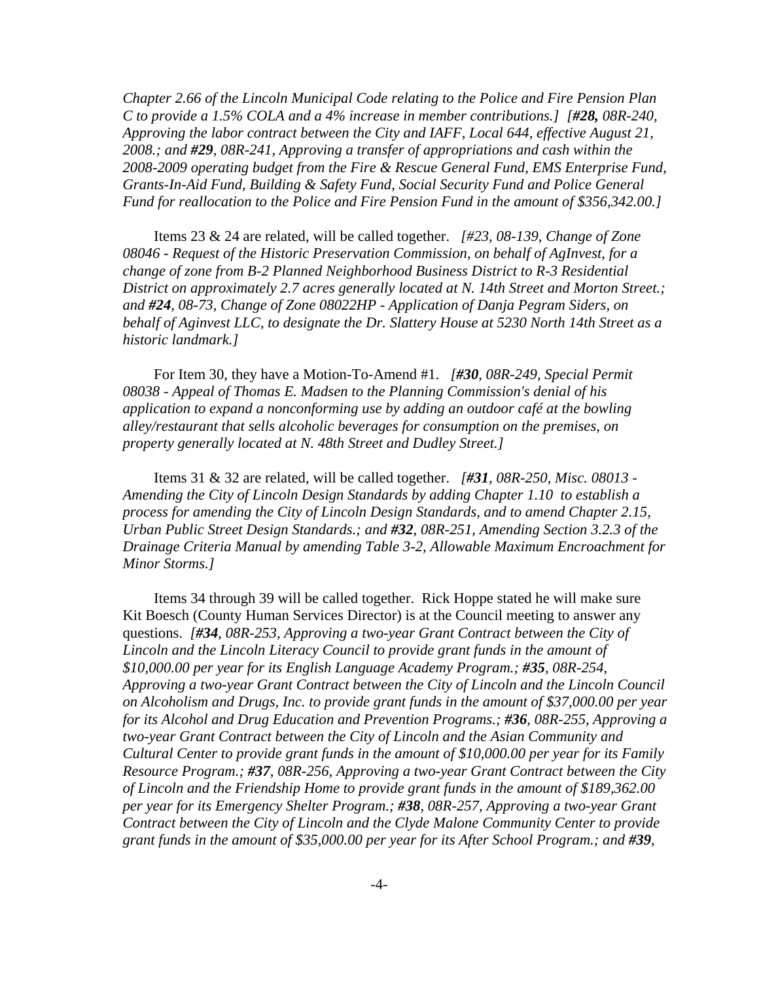*Chapter 2.66 of the Lincoln Municipal Code relating to the Police and Fire Pension Plan C to provide a 1.5% COLA and a 4% increase in member contributions.] [#28, 08R-240, Approving the labor contract between the City and IAFF, Local 644, effective August 21, 2008.; and #29, 08R-241, Approving a transfer of appropriations and cash within the 2008-2009 operating budget from the Fire & Rescue General Fund, EMS Enterprise Fund, Grants-In-Aid Fund, Building & Safety Fund, Social Security Fund and Police General Fund for reallocation to the Police and Fire Pension Fund in the amount of \$356,342.00.]*

Items 23 & 24 are related, will be called together. *[#23, 08-139, Change of Zone 08046 - Request of the Historic Preservation Commission, on behalf of AgInvest, for a change of zone from B-2 Planned Neighborhood Business District to R-3 Residential District on approximately 2.7 acres generally located at N. 14th Street and Morton Street.; and #24, 08-73, Change of Zone 08022HP - Application of Danja Pegram Siders, on behalf of Aginvest LLC, to designate the Dr. Slattery House at 5230 North 14th Street as a historic landmark.]*

For Item 30, they have a Motion-To-Amend #1. *[#30, 08R-249, Special Permit 08038 - Appeal of Thomas E. Madsen to the Planning Commission's denial of his application to expand a nonconforming use by adding an outdoor café at the bowling alley/restaurant that sells alcoholic beverages for consumption on the premises, on property generally located at N. 48th Street and Dudley Street.]* 

Items 31 & 32 are related, will be called together. *[#31, 08R-250, Misc. 08013 - Amending the City of Lincoln Design Standards by adding Chapter 1.10 to establish a process for amending the City of Lincoln Design Standards, and to amend Chapter 2.15, Urban Public Street Design Standards.; and #32, 08R-251, Amending Section 3.2.3 of the Drainage Criteria Manual by amending Table 3-2, Allowable Maximum Encroachment for Minor Storms.]*

Items 34 through 39 will be called together. Rick Hoppe stated he will make sure Kit Boesch (County Human Services Director) is at the Council meeting to answer any questions. *[#34, 08R-253, Approving a two-year Grant Contract between the City of Lincoln and the Lincoln Literacy Council to provide grant funds in the amount of \$10,000.00 per year for its English Language Academy Program.; #35, 08R-254, Approving a two-year Grant Contract between the City of Lincoln and the Lincoln Council on Alcoholism and Drugs, Inc. to provide grant funds in the amount of \$37,000.00 per year for its Alcohol and Drug Education and Prevention Programs.; #36, 08R-255, Approving a two-year Grant Contract between the City of Lincoln and the Asian Community and Cultural Center to provide grant funds in the amount of \$10,000.00 per year for its Family Resource Program.; #37, 08R-256, Approving a two-year Grant Contract between the City of Lincoln and the Friendship Home to provide grant funds in the amount of \$189,362.00 per year for its Emergency Shelter Program.; #38, 08R-257, Approving a two-year Grant Contract between the City of Lincoln and the Clyde Malone Community Center to provide grant funds in the amount of \$35,000.00 per year for its After School Program.; and #39,*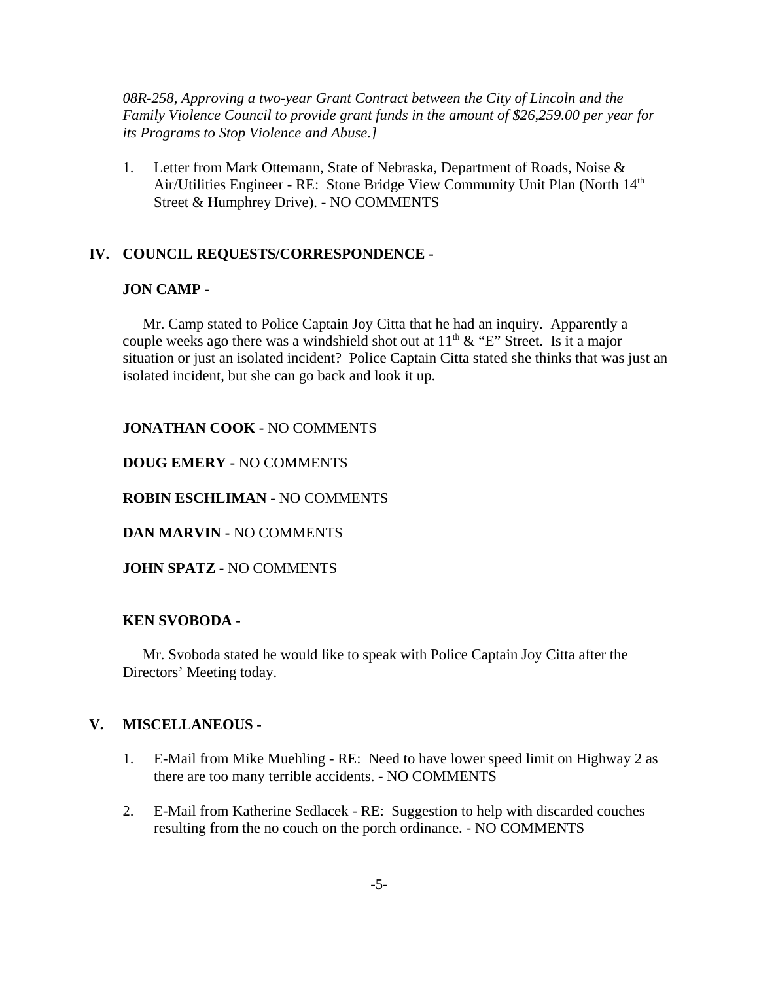*08R-258, Approving a two-year Grant Contract between the City of Lincoln and the Family Violence Council to provide grant funds in the amount of \$26,259.00 per year for its Programs to Stop Violence and Abuse.]*

1. Letter from Mark Ottemann, State of Nebraska, Department of Roads, Noise & Air/Utilities Engineer - RE: Stone Bridge View Community Unit Plan (North 14<sup>th</sup>) Street & Humphrey Drive). - NO COMMENTS

#### **IV. COUNCIL REQUESTS/CORRESPONDENCE -**

#### **JON CAMP -**

Mr. Camp stated to Police Captain Joy Citta that he had an inquiry. Apparently a couple weeks ago there was a windshield shot out at  $11<sup>th</sup> \& 'E'$  Street. Is it a major situation or just an isolated incident? Police Captain Citta stated she thinks that was just an isolated incident, but she can go back and look it up.

#### **JONATHAN COOK -** NO COMMENTS

**DOUG EMERY -** NO COMMENTS

**ROBIN ESCHLIMAN -** NO COMMENTS

**DAN MARVIN -** NO COMMENTS

**JOHN SPATZ -** NO COMMENTS

#### **KEN SVOBODA -**

Mr. Svoboda stated he would like to speak with Police Captain Joy Citta after the Directors' Meeting today.

#### **V. MISCELLANEOUS -**

- 1. E-Mail from Mike Muehling RE: Need to have lower speed limit on Highway 2 as there are too many terrible accidents. - NO COMMENTS
- 2. E-Mail from Katherine Sedlacek RE: Suggestion to help with discarded couches resulting from the no couch on the porch ordinance. - NO COMMENTS